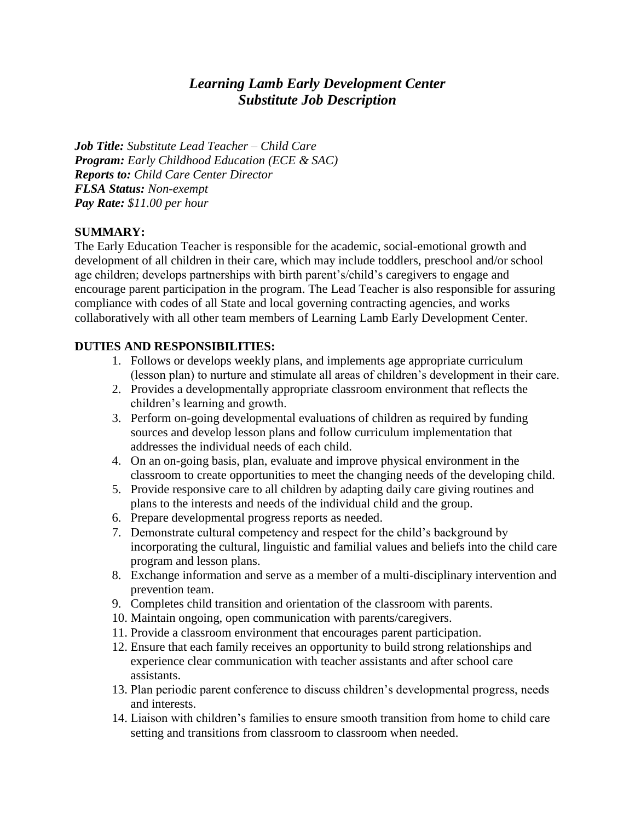# *Learning Lamb Early Development Center Substitute Job Description*

*Job Title: Substitute Lead Teacher – Child Care Program: Early Childhood Education (ECE & SAC) Reports to: Child Care Center Director FLSA Status: Non-exempt Pay Rate: \$11.00 per hour*

#### **SUMMARY:**

The Early Education Teacher is responsible for the academic, social-emotional growth and development of all children in their care, which may include toddlers, preschool and/or school age children; develops partnerships with birth parent's/child's caregivers to engage and encourage parent participation in the program. The Lead Teacher is also responsible for assuring compliance with codes of all State and local governing contracting agencies, and works collaboratively with all other team members of Learning Lamb Early Development Center.

#### **DUTIES AND RESPONSIBILITIES:**

- 1. Follows or develops weekly plans, and implements age appropriate curriculum (lesson plan) to nurture and stimulate all areas of children's development in their care.
- 2. Provides a developmentally appropriate classroom environment that reflects the children's learning and growth.
- 3. Perform on-going developmental evaluations of children as required by funding sources and develop lesson plans and follow curriculum implementation that addresses the individual needs of each child.
- 4. On an on-going basis, plan, evaluate and improve physical environment in the classroom to create opportunities to meet the changing needs of the developing child.
- 5. Provide responsive care to all children by adapting daily care giving routines and plans to the interests and needs of the individual child and the group.
- 6. Prepare developmental progress reports as needed.
- 7. Demonstrate cultural competency and respect for the child's background by incorporating the cultural, linguistic and familial values and beliefs into the child care program and lesson plans.
- 8. Exchange information and serve as a member of a multi-disciplinary intervention and prevention team.
- 9. Completes child transition and orientation of the classroom with parents.
- 10. Maintain ongoing, open communication with parents/caregivers.
- 11. Provide a classroom environment that encourages parent participation.
- 12. Ensure that each family receives an opportunity to build strong relationships and experience clear communication with teacher assistants and after school care assistants.
- 13. Plan periodic parent conference to discuss children's developmental progress, needs and interests.
- 14. Liaison with children's families to ensure smooth transition from home to child care setting and transitions from classroom to classroom when needed.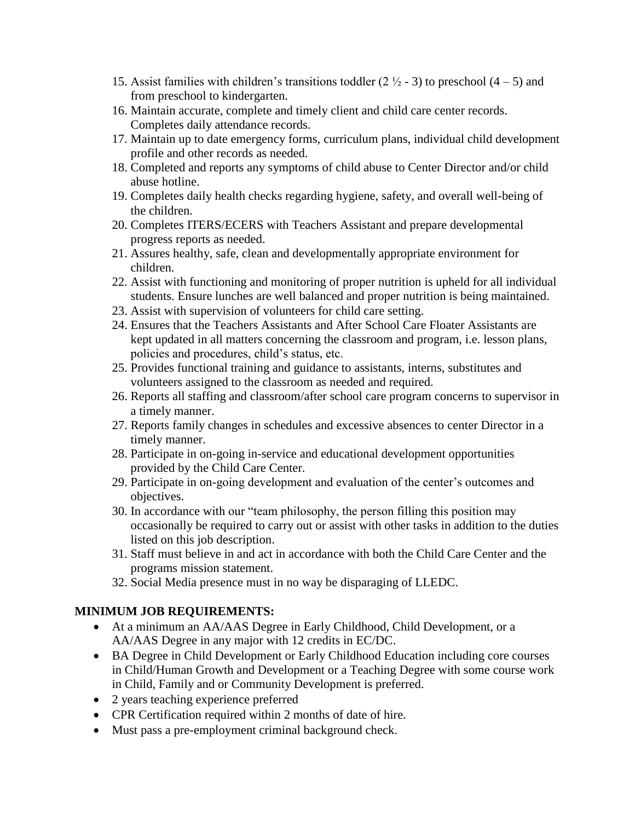- 15. Assist families with children's transitions toddler  $(2 \frac{1}{2} 3)$  to preschool  $(4 5)$  and from preschool to kindergarten.
- 16. Maintain accurate, complete and timely client and child care center records. Completes daily attendance records.
- 17. Maintain up to date emergency forms, curriculum plans, individual child development profile and other records as needed.
- 18. Completed and reports any symptoms of child abuse to Center Director and/or child abuse hotline.
- 19. Completes daily health checks regarding hygiene, safety, and overall well-being of the children.
- 20. Completes ITERS/ECERS with Teachers Assistant and prepare developmental progress reports as needed.
- 21. Assures healthy, safe, clean and developmentally appropriate environment for children.
- 22. Assist with functioning and monitoring of proper nutrition is upheld for all individual students. Ensure lunches are well balanced and proper nutrition is being maintained.
- 23. Assist with supervision of volunteers for child care setting.
- 24. Ensures that the Teachers Assistants and After School Care Floater Assistants are kept updated in all matters concerning the classroom and program, i.e. lesson plans, policies and procedures, child's status, etc.
- 25. Provides functional training and guidance to assistants, interns, substitutes and volunteers assigned to the classroom as needed and required.
- 26. Reports all staffing and classroom/after school care program concerns to supervisor in a timely manner.
- 27. Reports family changes in schedules and excessive absences to center Director in a timely manner.
- 28. Participate in on-going in-service and educational development opportunities provided by the Child Care Center.
- 29. Participate in on-going development and evaluation of the center's outcomes and objectives.
- 30. In accordance with our "team philosophy, the person filling this position may occasionally be required to carry out or assist with other tasks in addition to the duties listed on this job description.
- 31. Staff must believe in and act in accordance with both the Child Care Center and the programs mission statement.
- 32. Social Media presence must in no way be disparaging of LLEDC.

## **MINIMUM JOB REQUIREMENTS:**

- At a minimum an AA/AAS Degree in Early Childhood, Child Development, or a AA/AAS Degree in any major with 12 credits in EC/DC.
- BA Degree in Child Development or Early Childhood Education including core courses in Child/Human Growth and Development or a Teaching Degree with some course work in Child, Family and or Community Development is preferred.
- 2 years teaching experience preferred
- CPR Certification required within 2 months of date of hire.
- Must pass a pre-employment criminal background check.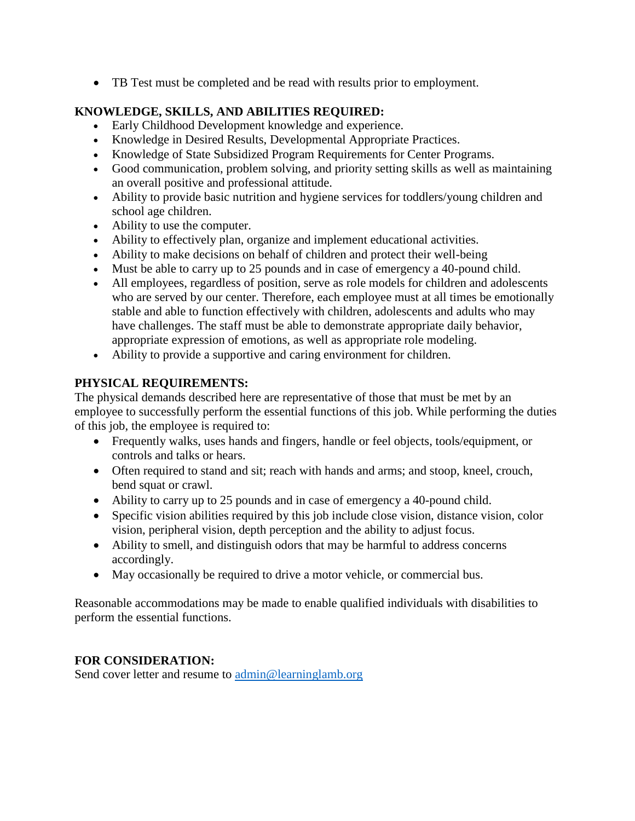TB Test must be completed and be read with results prior to employment.

## **KNOWLEDGE, SKILLS, AND ABILITIES REQUIRED:**

- Early Childhood Development knowledge and experience.
- Knowledge in Desired Results, Developmental Appropriate Practices.
- Knowledge of State Subsidized Program Requirements for Center Programs.
- Good communication, problem solving, and priority setting skills as well as maintaining an overall positive and professional attitude.
- Ability to provide basic nutrition and hygiene services for toddlers/young children and school age children.
- Ability to use the computer.
- Ability to effectively plan, organize and implement educational activities.
- Ability to make decisions on behalf of children and protect their well-being
- Must be able to carry up to 25 pounds and in case of emergency a 40-pound child.
- All employees, regardless of position, serve as role models for children and adolescents who are served by our center. Therefore, each employee must at all times be emotionally stable and able to function effectively with children, adolescents and adults who may have challenges. The staff must be able to demonstrate appropriate daily behavior, appropriate expression of emotions, as well as appropriate role modeling.
- Ability to provide a supportive and caring environment for children.

## **PHYSICAL REQUIREMENTS:**

The physical demands described here are representative of those that must be met by an employee to successfully perform the essential functions of this job. While performing the duties of this job, the employee is required to:

- Frequently walks, uses hands and fingers, handle or feel objects, tools/equipment, or controls and talks or hears.
- Often required to stand and sit; reach with hands and arms; and stoop, kneel, crouch, bend squat or crawl.
- Ability to carry up to 25 pounds and in case of emergency a 40-pound child.
- Specific vision abilities required by this job include close vision, distance vision, color vision, peripheral vision, depth perception and the ability to adjust focus.
- Ability to smell, and distinguish odors that may be harmful to address concerns accordingly.
- May occasionally be required to drive a motor vehicle, or commercial bus.

Reasonable accommodations may be made to enable qualified individuals with disabilities to perform the essential functions.

## **FOR CONSIDERATION:**

Send cover letter and resume to [admin@learninglamb.org](mailto:admin@learninglamb.org)